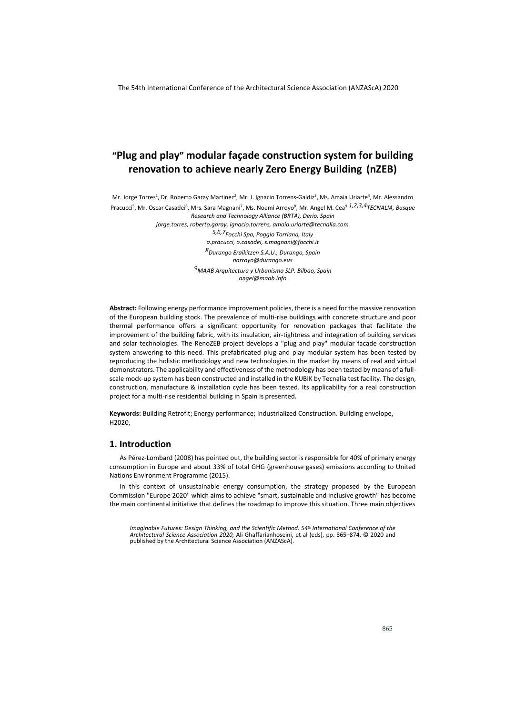Mr. Jorge Torres<sup>1</sup>, Dr. Roberto Garay Martinez<sup>2</sup>, Mr. J. Ignacio Torrens-Galdiz<sup>3</sup>, Ms. Amaia Uriarte<sup>4</sup>, Mr. Alessandro Pracucci<sup>5</sup>, Mr. Oscar Casadei<sup>6</sup>, Mrs. Sara Magnani<sup>7</sup>, Ms. Noemi Arroyo<sup>8</sup>, Mr. Angel M. Cea<sup>9 1,2,3,4</sup>TECNALIA*, Basque Research and Technology Alliance (BRTA), Derio, Spain* 

*jorge.torres, roberto.garay, ignacio.torrens, amaia.uriarte@tecnalia.com 5,6,7Focchi Spa, Poggio Torriana, Italy a.pracucci, o.casadei, s.magnani@focchi.it 8Durango Eraikitzen S.A.U., Durango, Spain narroyo@durango.eus 9MAAB Arquitectura y Urbanismo SLP. Bilbao, Spain angel@maab.info* 

**Abstract:** Following energy performance improvement policies, there is a need for the massive renovation of the European building stock. The prevalence of multi-rise buildings with concrete structure and poor thermal performance offers a significant opportunity for renovation packages that facilitate the improvement of the building fabric, with its insulation, air-tightness and integration of building services and solar technologies. The RenoZEB project develops a "plug and play" modular facade construction system answering to this need. This prefabricated plug and play modular system has been tested by reproducing the holistic methodology and new technologies in the market by means of real and virtual demonstrators. The applicability and effectiveness of the methodology has been tested by means of a fullscale mock-up system has been constructed and installed in the KUBIK by Tecnalia test facility. The design, construction, manufacture & installation cycle has been tested. Its applicability for a real construction project for a multi-rise residential building in Spain is presented.

**Keywords:** Building Retrofit; Energy performance; Industrialized Construction. Building envelope, H2020,

# **1. Introduction**

As Pérez-Lombard (2008) has pointed out, the building sector is responsible for 40% of primary energy consumption in Europe and about 33% of total GHG (greenhouse gases) emissions according to United Nations Environment Programme (2015).

In this context of unsustainable energy consumption, the strategy proposed by the European Commission "Europe 2020" which aims to achieve "smart, sustainable and inclusive growth" has become the main continental initiative that defines the roadmap to improve this situation. Three main objectives

Imaginable Futures: Design Thinking, and the Scientific Method. 54th International Conference of the<br>Architectural Science Association 2020, Ali Ghaffarianhoseini, et al (eds), pp. 865–874. © 2020 and<br>published by the Arch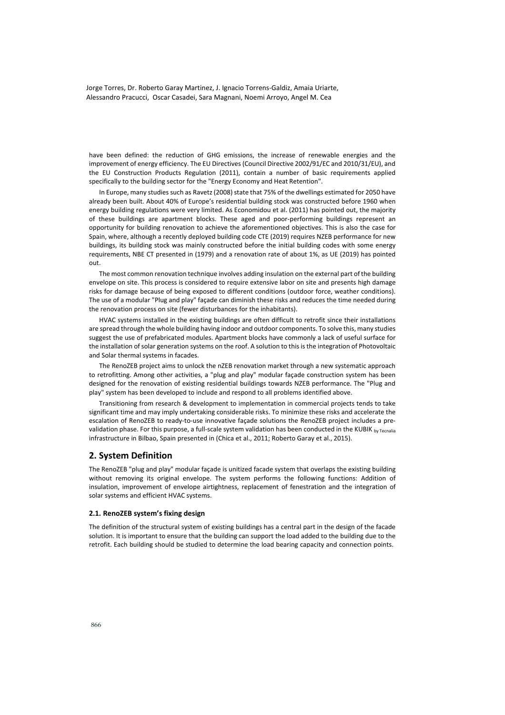have been defined: the reduction of GHG emissions, the increase of renewable energies and the improvement of energy efficiency. The EU Directives (Council Directive 2002/91/EC and 2010/31/EU), and the EU Construction Products Regulation (2011), contain a number of basic requirements applied specifically to the building sector for the "Energy Economy and Heat Retention".

In Europe, many studies such as Ravetz (2008) state that 75% of the dwellings estimated for 2050 have already been built. About 40% of Europe's residential building stock was constructed before 1960 when energy building regulations were very limited. As Economidou et al. (2011) has pointed out, the majority of these buildings are apartment blocks. These aged and poor-performing buildings represent an opportunity for building renovation to achieve the aforementioned objectives. This is also the case for Spain, where, although a recently deployed building code CTE (2019) requires NZEB performance for new buildings, its building stock was mainly constructed before the initial building codes with some energy requirements, NBE CT presented in (1979) and a renovation rate of about 1%, as UE (2019) has pointed out.

The most common renovation technique involves adding insulation on the external part of the building envelope on site. This process is considered to require extensive labor on site and presents high damage risks for damage because of being exposed to different conditions (outdoor force, weather conditions). The use of a modular "Plug and play" façade can diminish these risks and reduces the time needed during the renovation process on site (fewer disturbances for the inhabitants).

HVAC systems installed in the existing buildings are often difficult to retrofit since their installations are spread through the whole building having indoor and outdoor components. To solve this, many studies suggest the use of prefabricated modules. Apartment blocks have commonly a lack of useful surface for the installation of solar generation systems on the roof. A solution to this is the integration of Photovoltaic and Solar thermal systems in facades.

The RenoZEB project aims to unlock the nZEB renovation market through a new systematic approach to retrofitting. Among other activities, a "plug and play" modular façade construction system has been designed for the renovation of existing residential buildings towards NZEB performance. The "Plug and play" system has been developed to include and respond to all problems identified above.

Transitioning from research & development to implementation in commercial projects tends to take significant time and may imply undertaking considerable risks. To minimize these risks and accelerate the escalation of RenoZEB to ready-to-use innovative façade solutions the RenoZEB project includes a prevalidation phase. For this purpose, a full-scale system validation has been conducted in the KUBIK by Tecnalia infrastructure in Bilbao, Spain presented in (Chica et al., 2011; Roberto Garay et al., 2015).

#### **2. System Definition**

The RenoZEB "plug and play" modular façade is unitized facade system that overlaps the existing building without removing its original envelope. The system performs the following functions: Addition of insulation, improvement of envelope airtightness, replacement of fenestration and the integration of solar systems and efficient HVAC systems.

#### **2.1. RenoZEB system's fixing design**

The definition of the structural system of existing buildings has a central part in the design of the facade solution. It is important to ensure that the building can support the load added to the building due to the retrofit. Each building should be studied to determine the load bearing capacity and connection points.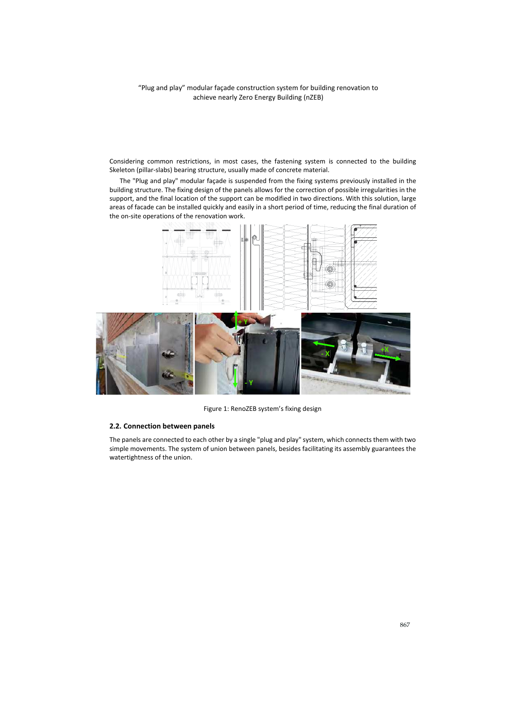Considering common restrictions, in most cases, the fastening system is connected to the building Skeleton (pillar-slabs) bearing structure, usually made of concrete material.

The "Plug and play" modular façade is suspended from the fixing systems previously installed in the building structure. The fixing design of the panels allows for the correction of possible irregularities in the support, and the final location of the support can be modified in two directions. With this solution, large areas of facade can be installed quickly and easily in a short period of time, reducing the final duration of the on-site operations of the renovation work.



Figure 1: RenoZEB system's fixing design

#### **2.2. Connection between panels**

The panels are connected to each other by a single "plug and play" system, which connects them with two simple movements. The system of union between panels, besides facilitating its assembly guarantees the watertightness of the union.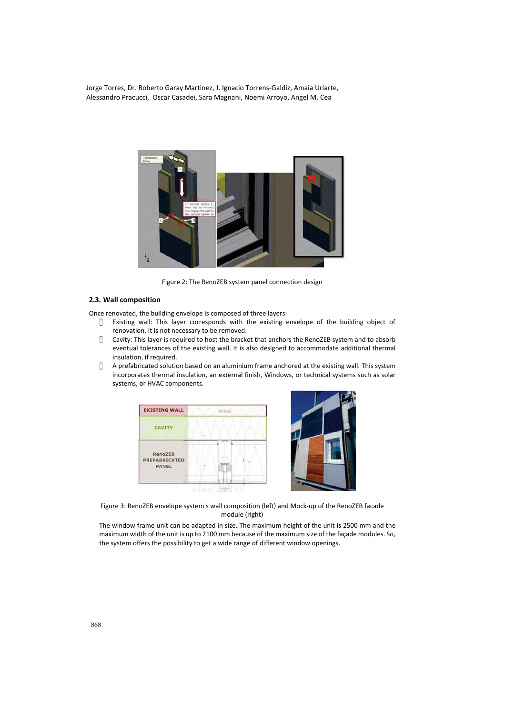

Figure 2: The RenoZEB system panel connection design

#### **2.3. Wall composition**

Once renovated, the building envelope is composed of three layers:

- <sup>C</sup> Existing wall: This layer corresponds with the existing envelope of the building object of renovation. It is not necessary to be removed.
- Cavity: This layer is required to host the bracket that anchors the RenoZEB system and to absorb eventual tolerances of the existing wall. It is also designed to accommodate additional thermal insulation, if required.
- <sup>C</sup> A prefabricated solution based on an aluminium frame anchored at the existing wall. This system incorporates thermal insulation, an external finish, Windows, or technical systems such as solar systems, or HVAC components.





Figure 3: RenoZEB envelope system's wall composition (left) and Mock-up of the RenoZEB facade module (right)

The window frame unit can be adapted in size. The maximum height of the unit is 2500 mm and the maximum width of the unit is up to 2100 mm because of the maximum size of the façade modules. So, the system offers the possibility to get a wide range of different window openings.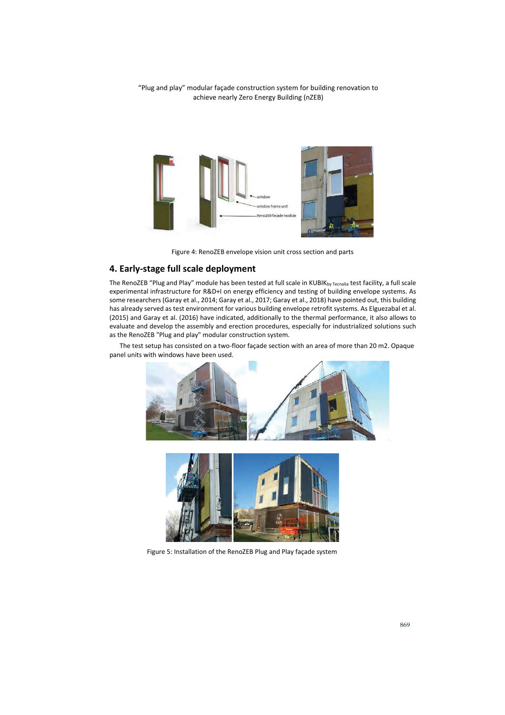

Figure 4: RenoZEB envelope vision unit cross section and parts

### **4. Early-stage full scale deployment**

The RenoZEB "Plug and Play" module has been tested at full scale in KUBIKby Tecnalia test facility, a full scale experimental infrastructure for R&D+I on energy efficiency and testing of building envelope systems. As some researchers (Garay et al., 2014; Garay et al., 2017; Garay et al., 2018) have pointed out, this building has already served as test environment for various building envelope retrofit systems. As Elguezabal et al. (2015) and Garay et al. (2016) have indicated, additionally to the thermal performance, it also allows to evaluate and develop the assembly and erection procedures, especially for industrialized solutions such as the RenoZEB "Plug and play" modular construction system.

The test setup has consisted on a two-floor façade section with an area of more than 20 m2. Opaque panel units with windows have been used.





Figure 5: Installation of the RenoZEB Plug and Play façade system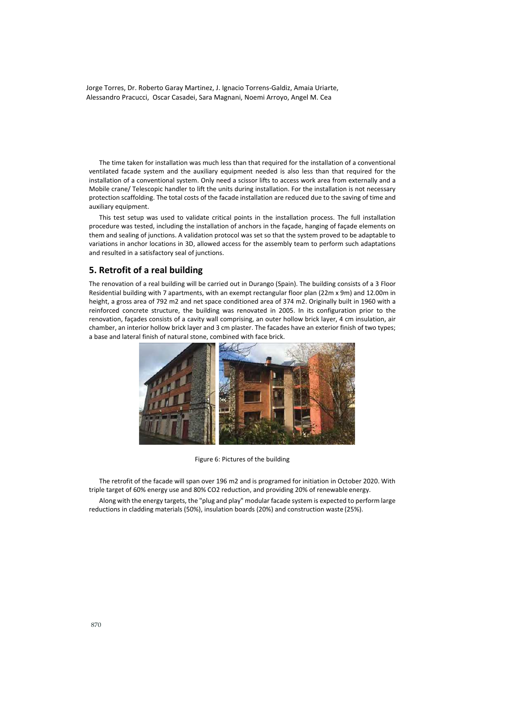The time taken for installation was much less than that required for the installation of a conventional ventilated facade system and the auxiliary equipment needed is also less than that required for the installation of a conventional system. Only need a scissor lifts to access work area from externally and a Mobile crane/ Telescopic handler to lift the units during installation. For the installation is not necessary protection scaffolding. The total costs of the facade installation are reduced due to the saving of time and auxiliary equipment.

This test setup was used to validate critical points in the installation process. The full installation procedure was tested, including the installation of anchors in the façade, hanging of façade elements on them and sealing of junctions. A validation protocol was set so that the system proved to be adaptable to variations in anchor locations in 3D, allowed access for the assembly team to perform such adaptations and resulted in a satisfactory seal of junctions.

## **5. Retrofit of a real building**

The renovation of a real building will be carried out in Durango (Spain). The building consists of a 3 Floor Residential building with 7 apartments, with an exempt rectangular floor plan (22m x 9m) and 12.00m in height, a gross area of 792 m2 and net space conditioned area of 374 m2. Originally built in 1960 with a reinforced concrete structure, the building was renovated in 2005. In its configuration prior to the renovation, façades consists of a cavity wall comprising, an outer hollow brick layer, 4 cm insulation, air chamber, an interior hollow brick layer and 3 cm plaster. The facades have an exterior finish of two types; a base and lateral finish of natural stone, combined with face brick.



Figure 6: Pictures of the building

The retrofit of the facade will span over 196 m2 and is programed for initiation in October 2020. With triple target of 60% energy use and 80% CO2 reduction, and providing 20% of renewable energy. Along with the energy targets, the "plug and play" modular facade system is expected to perform large reductions in cladding materials (50%), insulation boards (20%) and construction waste (25%).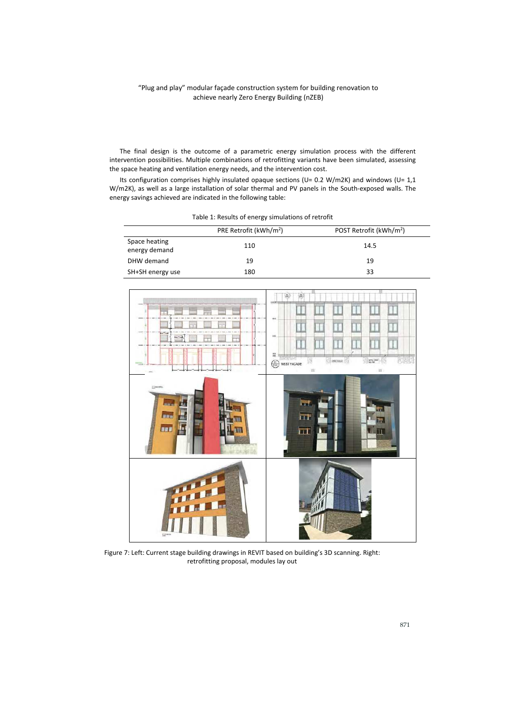The final design is the outcome of a parametric energy simulation process with the different intervention possibilities. Multiple combinations of retrofitting variants have been simulated, assessing the space heating and ventilation energy needs, and the intervention cost.

Its configuration comprises highly insulated opaque sections (U= 0.2 W/m2K) and windows (U= 1,1 W/m2K), as well as a large installation of solar thermal and PV panels in the South-exposed walls. The energy savings achieved are indicated in the following table:

|                                | PRE Retrofit (kWh/m <sup>2</sup> ) | POST Retrofit (kWh/m <sup>2</sup> ) |
|--------------------------------|------------------------------------|-------------------------------------|
| Space heating<br>energy demand | 110                                | 14.5                                |
| DHW demand                     | 19                                 | 19                                  |
| SH+SH energy use               | 180                                | 33                                  |

Table 1: Results of energy simulations of retrofit



Figure 7: Left: Current stage building drawings in REVIT based on building's 3D scanning. Right: retrofitting proposal, modules lay out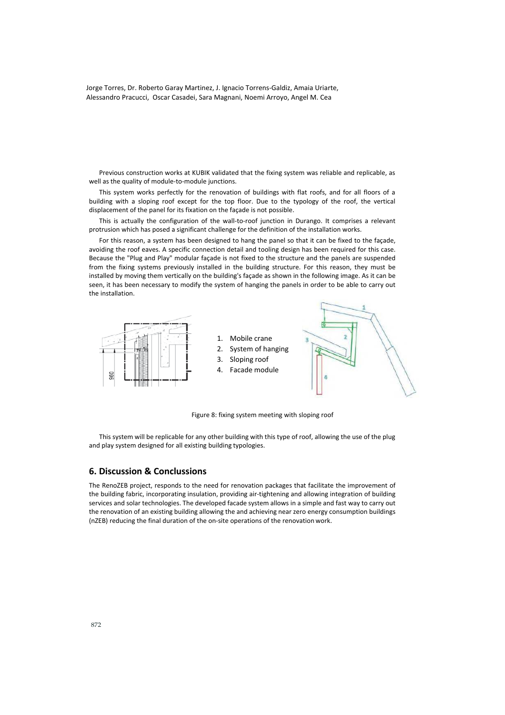Previous construction works at KUBIK validated that the fixing system was reliable and replicable, as well as the quality of module-to-module junctions.

This system works perfectly for the renovation of buildings with flat roofs, and for all floors of a building with a sloping roof except for the top floor. Due to the typology of the roof, the vertical displacement of the panel for its fixation on the façade is not possible.

This is actually the configuration of the wall-to-roof junction in Durango. It comprises a relevant protrusion which has posed a significant challenge for the definition of the installation works.

For this reason, a system has been designed to hang the panel so that it can be fixed to the façade, avoiding the roof eaves. A specific connection detail and tooling design has been required for this case. Because the "Plug and Play" modular façade is not fixed to the structure and the panels are suspended from the fixing systems previously installed in the building structure. For this reason, they must be installed by moving them vertically on the building's façade as shown in the following image. As it can be seen, it has been necessary to modify the system of hanging the panels in order to be able to carry out the installation.



Figure 8: fixing system meeting with sloping roof

This system will be replicable for any other building with this type of roof, allowing the use of the plug and play system designed for all existing building typologies.

#### **6. Discussion & Conclussions**

The RenoZEB project, responds to the need for renovation packages that facilitate the improvement of the building fabric, incorporating insulation, providing air-tightening and allowing integration of building services and solar technologies. The developed facade system allows in a simple and fast way to carry out the renovation of an existing building allowing the and achieving near zero energy consumption buildings (nZEB) reducing the final duration of the on-site operations of the renovation work.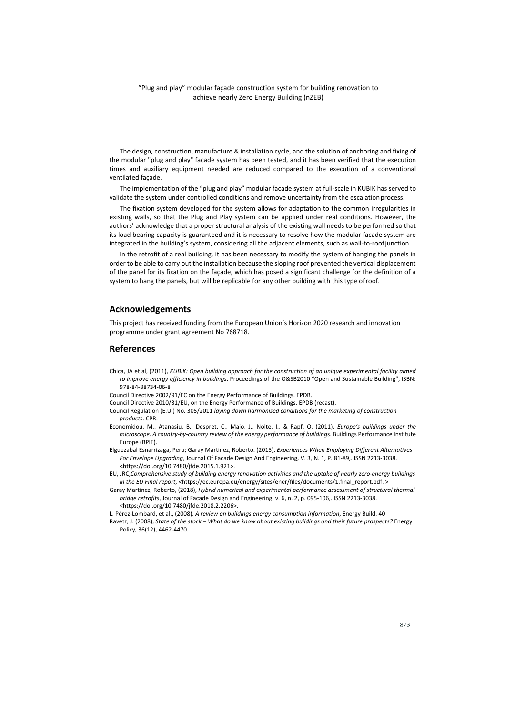The design, construction, manufacture & installation cycle, and the solution of anchoring and fixing of the modular "plug and play" facade system has been tested, and it has been verified that the execution times and auxiliary equipment needed are reduced compared to the execution of a conventional ventilated façade.

The implementation of the "plug and play" modular facade system at full-scale in KUBIK has served to validate the system under controlled conditions and remove uncertainty from the escalation process.

The fixation system developed for the system allows for adaptation to the common irregularities in existing walls, so that the Plug and Play system can be applied under real conditions. However, the authors' acknowledge that a proper structural analysis of the existing wall needs to be performed so that its load bearing capacity is guaranteed and it is necessary to resolve how the modular facade system are integrated in the building's system, considering all the adjacent elements, such as wall-to-roof junction.

In the retrofit of a real building, it has been necessary to modify the system of hanging the panels in order to be able to carry out the installation because the sloping roof prevented the vertical displacement of the panel for its fixation on the façade, which has posed a significant challenge for the definition of a system to hang the panels, but will be replicable for any other building with this type of roof.

#### **Acknowledgements**

This project has received funding from the European Union's Horizon 2020 research and innovation programme under grant agreement No 768718.

# **References**

- Chica, JA et al, (2011), *KUBIK: Open building approach for the construction of an unique experimental facility aimed to improve energy efficiency in buildings*. Proceedings of the O&SB2010 "Open and Sustainable Building", ISBN: 978-84-88734-06-8
- Council Directive 2002/91/EC on the Energy Performance of Buildings. EPDB.
- Council Directive 2010/31/EU, on the Energy Performance of Buildings. EPDB (recast).
- Council Regulation (E.U.) No. 305/2011 *laying down harmonised conditions for the marketing of construction products*. CPR.
- Economidou, M., Atanasiu, B., Despret, C., Maio, J., Nolte, I., & Rapf, O. (2011). *Europe's buildings under the microscope. A country-by-country review of the energy performance of building*s. Buildings Performance Institute Europe (BPIE).

Elguezabal Esnarrizaga, Peru; Garay Martinez, Roberto. (2015), *Experiences When Employing Different Alternatives For Envelope Upgrading*, Journal Of Facade Design And Engineering, V. 3, N. 1, P. 81-89,. ISSN 2213-3038. <https://doi.org/10.7480/jfde.2015.1.921>.

- EU, JRC,*Comprehensive study of building energy renovation activities and the uptake of nearly zero-energy buildings in the EU Final report*, <https://ec.europa.eu/energy/sites/ener/files/documents/1.final\_report.pdf. >
- Garay Martinez, Roberto, (2018), *Hybrid numerical and experimental performance assessment of structural thermal bridge retrofits*, Journal of Facade Design and Engineering, v. 6, n. 2, p. 095-106,. ISSN 2213-3038. <https://doi.org/10.7480/jfde.2018.2.2206>.
- L. Pérez-Lombard, et al., (2008). *A review on buildings energy consumption information*, Energy Build. 40
- Ravetz, J. (2008), *State of the stock What do we know about existing buildings and their future prospects?* Energy Policy, 36(12), 4462-4470.